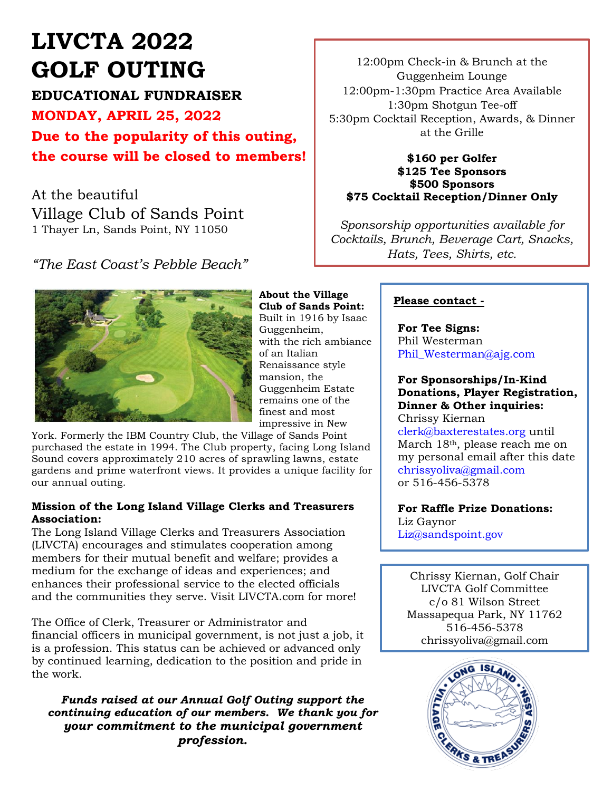# **LIVCTA 2022 GOLF OUTING**

**EDUCATIONAL FUNDRAISER**

**MONDAY, APRIL 25, 2022 Due to the popularity of this outing, the course will be closed to members!**

At the beautiful Village Club of Sands Point 1 Thayer Ln, Sands Point, NY 11050

*"The East Coast's Pebble Beach"*



**About the Village Club of Sands Point:** Built in 1916 by Isaac Guggenheim, with the rich ambiance of an Italian Renaissance style mansion, the Guggenheim Estate remains one of the finest and most impressive in New

York. Formerly the IBM Country Club, the Village of Sands Point purchased the estate in 1994. The Club property, facing Long Island Sound covers approximately 210 acres of sprawling lawns, estate gardens and prime waterfront views. It provides a unique facility for our annual outing.

#### **Mission of the Long Island Village Clerks and Treasurers Association:**

The Long Island Village Clerks and Treasurers Association (LIVCTA) encourages and stimulates cooperation among members for their mutual benefit and welfare; provides a medium for the exchange of ideas and experiences; and enhances their professional service to the elected officials and the communities they serve. Visit LIVCTA.com for more!

The Office of Clerk, Treasurer or Administrator and financial officers in municipal government, is not just a job, it is a profession. This status can be achieved or advanced only by continued learning, dedication to the position and pride in the work.

*Funds raised at our Annual Golf Outing support the continuing education of our members. We thank you for your commitment to the municipal government profession.*

12:00pm Check-in & Brunch at the Guggenheim Lounge 12:00pm-1:30pm Practice Area Available 1:30pm Shotgun Tee-off 5:30pm Cocktail Reception, Awards, & Dinner at the Grille

#### **\$160 per Golfer \$125 Tee Sponsors \$500 Sponsors \$75 Cocktail Reception/Dinner Only**

*Sponsorship opportunities available for Cocktails, Brunch, Beverage Cart, Snacks, Hats, Tees, Shirts, etc.*

#### **Please contact -**

**For Tee Signs:**  Phil Westerman Phil\_Westerman@ajg.com

#### **For Sponsorships/In-Kind Donations, Player Registration, Dinner & Other inquiries:**

Chrissy Kiernan [clerk@baxterestates.org](mailto:clerk@baxterestates.org) until March 18th, please reach me on my personal email after this date [chrissyoliva@gmail.com](mailto:%0Bchrissyoliva@gmail.com) or 516-456-5378

**For Raffle Prize Donations:** Liz Gaynor [Liz@sandspoint.gov](mailto:Liz@sandspoint.gov)

Chrissy Kiernan, Golf Chair LIVCTA Golf Committee c/o 81 Wilson Street Massapequa Park, NY 11762 516-456-5378 chrissyoliva@gmail.com